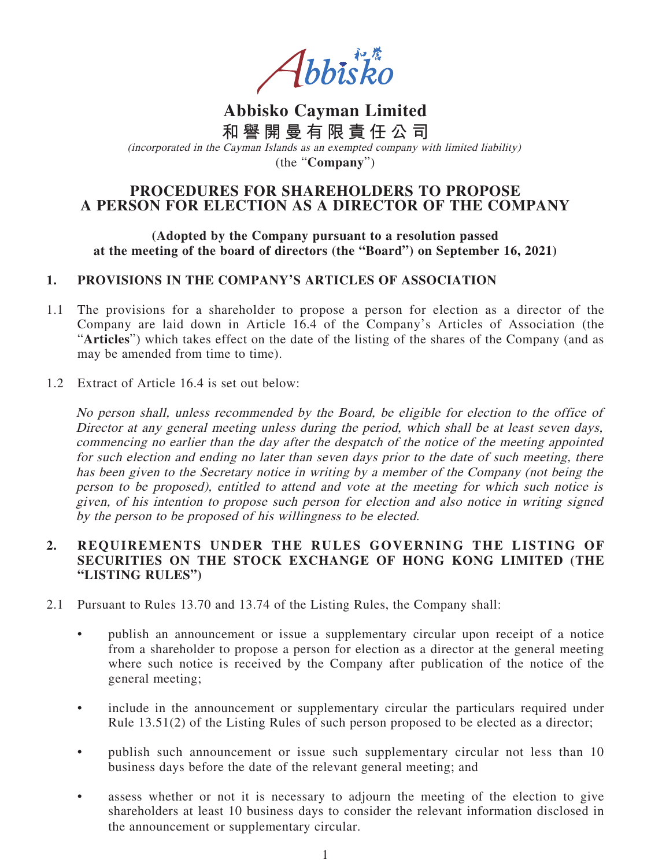Abbisko

**Abbisko Cayman Limited 和譽開曼有限責任公司**

(incorporated in the Cayman Islands as an exempted company with limited liability) (the "**Company**")

# **PROCEDURES FOR SHAREHOLDERS TO PROPOSE A PERSON FOR ELECTION AS A DIRECTOR OF THE COMPANY**

#### **(Adopted by the Company pursuant to a resolution passed at the meeting of the board of directors (the "Board") on September 16, 2021)**

### **1. PROVISIONS IN THE COMPANY'S ARTICLES OF ASSOCIATION**

- 1.1 The provisions for a shareholder to propose a person for election as a director of the Company are laid down in Article 16.4 of the Company's Articles of Association (the "**Articles**") which takes effect on the date of the listing of the shares of the Company (and as may be amended from time to time).
- 1.2 Extract of Article 16.4 is set out below:

No person shall, unless recommended by the Board, be eligible for election to the office of Director at any general meeting unless during the period, which shall be at least seven days, commencing no earlier than the day after the despatch of the notice of the meeting appointed for such election and ending no later than seven days prior to the date of such meeting, there has been given to the Secretary notice in writing by a member of the Company (not being the person to be proposed), entitled to attend and vote at the meeting for which such notice is given, of his intention to propose such person for election and also notice in writing signed by the person to be proposed of his willingness to be elected.

### **2. REQUIREMENTS UNDER THE RULES GOVERNING THE LISTING OF SECURITIES ON THE STOCK EXCHANGE OF HONG KONG LIMITED (THE "LISTING RULES")**

- 2.1 Pursuant to Rules 13.70 and 13.74 of the Listing Rules, the Company shall:
	- publish an announcement or issue a supplementary circular upon receipt of a notice from a shareholder to propose a person for election as a director at the general meeting where such notice is received by the Company after publication of the notice of the general meeting;
	- include in the announcement or supplementary circular the particulars required under Rule 13.51(2) of the Listing Rules of such person proposed to be elected as a director;
	- publish such announcement or issue such supplementary circular not less than 10 business days before the date of the relevant general meeting; and
	- assess whether or not it is necessary to adjourn the meeting of the election to give shareholders at least 10 business days to consider the relevant information disclosed in the announcement or supplementary circular.